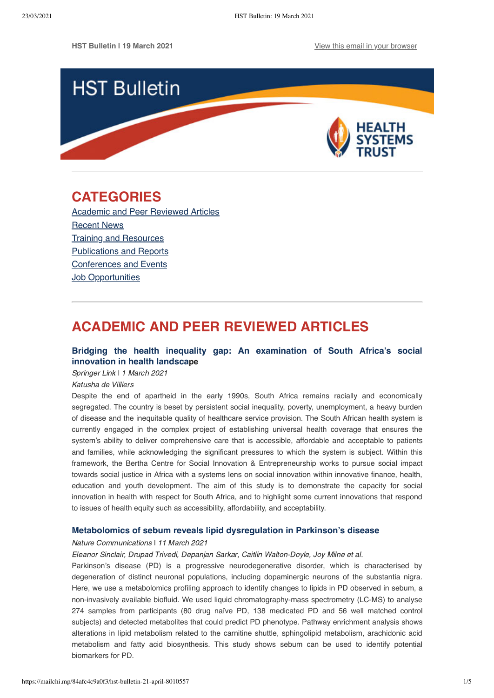

# <span id="page-0-1"></span>**CATEGORIES**

[Academic and Peer Reviewed Articles](#page-0-0) [Recent News](#page-1-0) [Training and Resources](#page-2-0) [Publications and Reports](#page-3-0) [Conferences and Events](#page-3-1) **[Job Opportunities](#page-4-0)** 

# <span id="page-0-0"></span>**ACADEMIC AND PEER REVIEWED ARTICLES**

## **[Bridging the health inequality gap:](https://link.springer.com/article/10.1186/s40249-021-00804-9) An examination of South Africa's social innovation in health landscape**

Springer Link | 1 March 2021

### Katusha de Villiers

Despite the end of apartheid in the early 1990s, South Africa remains racially and economically segregated. The country is beset by persistent social inequality, poverty, unemployment, a heavy burden of disease and the inequitable quality of healthcare service provision. The South African health system is currently engaged in the complex project of establishing universal health coverage that ensures the system's ability to deliver comprehensive care that is accessible, affordable and acceptable to patients and families, while acknowledging the significant pressures to which the system is subject. Within this framework, the Bertha Centre for Social Innovation & Entrepreneurship works to pursue social impact towards social justice in Africa with a systems lens on social innovation within innovative finance, health, education and youth development. The aim of this study is to demonstrate the capacity for social innovation in health with respect for South Africa, and to highlight some current innovations that respond to issues of health equity such as accessibility, affordability, and acceptability.

### **[Metabolomics of sebum reveals lipid dysregulation in Parkinson's disease](https://www.nature.com/articles/s41467-021-21669-4?utm_medium=affiliate&utm_source=commission_junction&utm_campaign=3_nsn6445_deeplink_PID100090912&utm_content=deeplink)**

### Nature Communications ǀ 11 March 2021

## Eleanor Sinclair, Drupad Trivedi, Depanjan Sarkar, Caitlin Walton-Doyle, Joy Milne et al.

Parkinson's disease (PD) is a progressive neurodegenerative disorder, which is characterised by degeneration of distinct neuronal populations, including dopaminergic neurons of the substantia nigra. Here, we use a metabolomics profiling approach to identify changes to lipids in PD observed in sebum, a non-invasively available biofluid. We used liquid chromatography-mass spectrometry (LC-MS) to analyse 274 samples from participants (80 drug naïve PD, 138 medicated PD and 56 well matched control subjects) and detected metabolites that could predict PD phenotype. Pathway enrichment analysis shows alterations in lipid metabolism related to the carnitine shuttle, sphingolipid metabolism, arachidonic acid metabolism and fatty acid biosynthesis. This study shows sebum can be used to identify potential biomarkers for PD.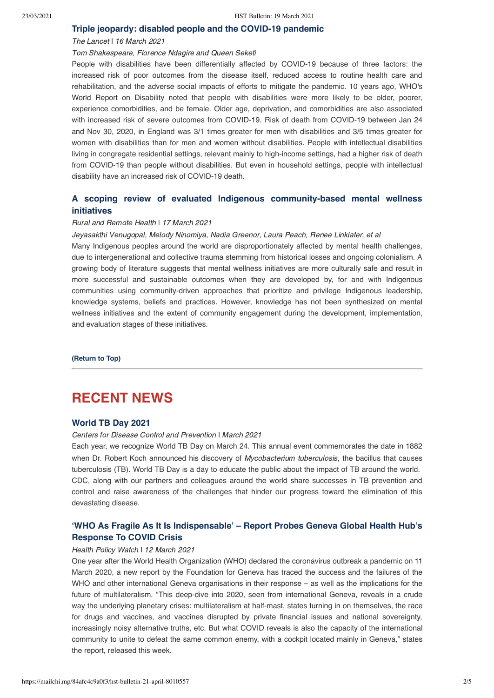#### **[Triple jeopardy: disabled people and the COVID-19 pandemic](https://www.thelancet.com/journals/lancet/article/PIIS0140-6736(21)00625-5/fulltext)**

#### The Lancet | 16 March 2021

### Tom Shakespeare, Florence Ndagire and Queen Seketi

People with disabilities have been differentially affected by COVID-19 because of three factors: the increased risk of poor outcomes from the disease itself, reduced access to routine health care and rehabilitation, and the adverse social impacts of efforts to mitigate the pandemic. 10 years ago, WHO's World Report on Disability noted that people with disabilities were more likely to be older, poorer, experience comorbidities, and be female. Older age, deprivation, and comorbidities are also associated with increased risk of severe outcomes from COVID-19. Risk of death from COVID-19 between Jan 24 and Nov 30, 2020, in England was 3/1 times greater for men with disabilities and 3/5 times greater for women with disabilities than for men and women without disabilities. People with intellectual disabilities living in congregate residential settings, relevant mainly to high-income settings, had a higher risk of death from COVID-19 than people without disabilities. But even in household settings, people with intellectual disability have an increased risk of COVID-19 death.

## **[A scoping review of evaluated Indigenous community-based mental wellness](https://www.rrh.org.au/journal/article/6203) initiatives**

#### Rural and Remote Health ǀ 17 March 2021

Jeyasakthi Venugopal, Melody Ninomiya, Nadia Greenor, Laura Peach, Renee Linklater, et al

Many Indigenous peoples around the world are disproportionately affected by mental health challenges, due to intergenerational and collective trauma stemming from historical losses and ongoing colonialism. A growing body of literature suggests that mental wellness initiatives are more culturally safe and result in more successful and sustainable outcomes when they are developed by, for and with Indigenous communities using community-driven approaches that prioritize and privilege Indigenous leadership, knowledge systems, beliefs and practices. However, knowledge has not been synthesized on mental wellness initiatives and the extent of community engagement during the development, implementation, and evaluation stages of these initiatives.

**[\(Return to Top\)](#page-0-1)**

# <span id="page-1-0"></span>**RECENT NEWS**

#### **[World TB Day 2021](https://www.cdc.gov/tb/worldtbday/default.htm)**

Centers for Disease Control and Prevention | March 2021

Each year, we recognize World TB Day on March 24. This annual event commemorates the date in 1882 when Dr. Robert Koch announced his discovery of Mycobacterium tuberculosis, the bacillus that causes tuberculosis (TB). World TB Day is a day to educate the public about the impact of TB around the world. CDC, along with our partners and colleagues around the world share successes in TB prevention and control and raise awareness of the challenges that hinder our progress toward the elimination of this devastating disease.

## **['WHO As Fragile As It Is Indispensable' – Report Probes Geneva Global Health Hub's](https://healthpolicy-watch.news/who-as-fragile-as-it-is-indispensable-report-probes-international-geneva-response-to-covid-crisis/) Response To COVID Crisis**

#### Health Policy Watch \ 12 March 2021

One year after the World Health Organization (WHO) declared the coronavirus outbreak a pandemic on 11 March 2020, a new report by the Foundation for Geneva has traced the success and the failures of the WHO and other international Geneva organisations in their response – as well as the implications for the future of multilateralism. "This deep-dive into 2020, seen from international Geneva, reveals in a crude way the underlying planetary crises: multilateralism at half-mast, states turning in on themselves, the race for drugs and vaccines, and vaccines disrupted by private financial issues and national sovereignty, increasingly noisy alternative truths, etc. But what COVID reveals is also the capacity of the international community to unite to defeat the same common enemy, with a cockpit located mainly in Geneva," states the report, released this week.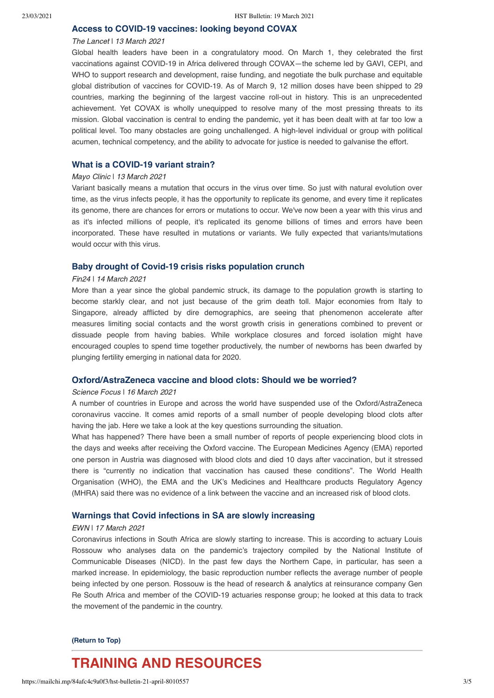### **[Access to COVID-19 vaccines: looking beyond COVAX](https://www.thelancet.com/journals/lancet/article/PIIS0140-6736(21)00617-6/fulltext#%20)**

#### The Lancet | 13 March 2021

Global health leaders have been in a congratulatory mood. On March 1, they celebrated the first vaccinations against COVID-19 in Africa delivered through COVAX—the scheme led by GAVI, CEPI, and WHO to support research and development, raise funding, and negotiate the bulk purchase and equitable global distribution of vaccines for COVID-19. As of March 9, 12 million doses have been shipped to 29 countries, marking the beginning of the largest vaccine roll-out in history. This is an unprecedented achievement. Yet COVAX is wholly unequipped to resolve many of the most pressing threats to its mission. Global vaccination is central to ending the pandemic, yet it has been dealt with at far too low a political level. Too many obstacles are going unchallenged. A high-level individual or group with political acumen, technical competency, and the ability to advocate for justice is needed to galvanise the effort.

## **[What is a COVID-19 variant strain?](https://www.mayoclinic.org/what-is-a-covid-19-variant-strain/vid-20508903)**

#### Mayo Clinic ǀ 13 March 2021

Variant basically means a mutation that occurs in the virus over time. So just with natural evolution over time, as the virus infects people, it has the opportunity to replicate its genome, and every time it replicates its genome, there are chances for errors or mutations to occur. We've now been a year with this virus and as it's infected millions of people, it's replicated its genome billions of times and errors have been incorporated. These have resulted in mutations or variants. We fully expected that variants/mutations would occur with this virus.

### **[Baby drought of Covid-19 crisis risks population crunch](https://www.news24.com/fin24/economy/coronavirus-social-distancing-likely-helped-prevent-or-dissuade-people-from-having-babies-20210314)**

#### Fin24 ǀ 14 March 2021

More than a year since the global pandemic struck, its damage to the population growth is starting to become starkly clear, and not just because of the grim death toll. Major economies from Italy to Singapore, already afflicted by dire demographics, are seeing that phenomenon accelerate after measures limiting social contacts and the worst growth crisis in generations combined to prevent or dissuade people from having babies. While workplace closures and forced isolation might have encouraged couples to spend time together productively, the number of newborns has been dwarfed by plunging fertility emerging in national data for 2020.

## **[Oxford/AstraZeneca vaccine and blood clots: Should we be worried?](https://www.sciencefocus.com/news/oxford-astrazeneca-vaccine-and-blood-clots-should-we-be-worried/?utm_source=Adestra&utm_medium=Email&utm_content=FOC2&utm_campaign=Science%20Focus%20Newsletter_801600_Focus_Automated%20Newsletters_18970208&utm_source=Adestra&utm_medium=email&utm_term=&utm_content=&utm_campaign=Science%20Focus%20Newsletter)**

#### Science Focus | 16 March 2021

A number of countries in Europe and across the world have suspended use of the Oxford/AstraZeneca coronavirus vaccine. It comes amid reports of a small number of people developing blood clots after having the jab. Here we take a look at the key questions surrounding the situation.

What has happened? There have been a small number of reports of people experiencing blood clots in the days and weeks after receiving the Oxford vaccine. The European Medicines Agency (EMA) reported one person in Austria was diagnosed with blood clots and died 10 days after vaccination, but it stressed there is "currently no indication that vaccination has caused these conditions". The World Health Organisation (WHO), the EMA and the UK's Medicines and Healthcare products Regulatory Agency (MHRA) said there was no evidence of a link between the vaccine and an increased risk of blood clots.

## **[Warnings that Covid infections in SA are slowly increasing](https://ewn.co.za/2021/03/17/warnings-that-covid-infections-in-sa-are-slowly-increasing/amp)**

#### EWN ǀ 17 March 2021

Coronavirus infections in South Africa are slowly starting to increase. This is according to actuary Louis Rossouw who analyses data on the pandemic's trajectory compiled by the National Institute of Communicable Diseases (NICD). In the past few days the Northern Cape, in particular, has seen a marked increase. In epidemiology, the basic reproduction number reflects the average number of people being infected by one person. Rossouw is the head of research & analytics at reinsurance company Gen Re South Africa and member of the COVID-19 actuaries response group; he looked at this data to track the movement of the pandemic in the country.

#### **[\(Return to Top\)](#page-0-1)**

# <span id="page-2-0"></span>**TRAINING AND RESOURCES**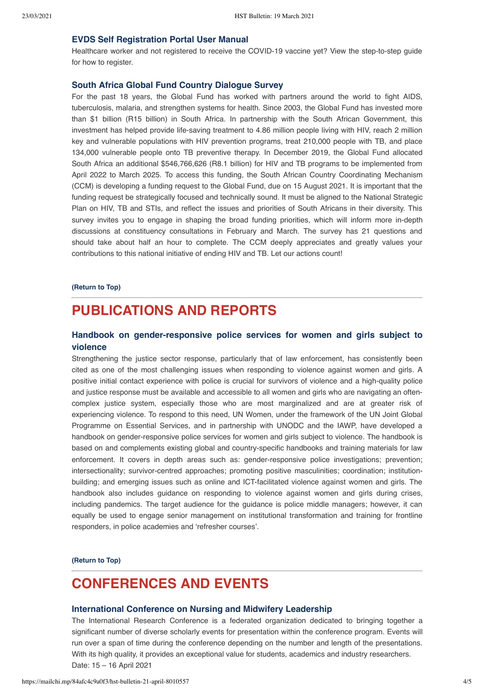### **[EVDS Self Registration Portal User Manual](https://sacoronavirus.co.za/evds/)**

Healthcare worker and not registered to receive the COVID-19 vaccine yet? View the step-to-step guide for how to register.

## **[South Africa Global Fund Country Dialogue Survey](https://docs.google.com/forms/d/e/1FAIpQLScjxlNRsBc4NSBfsHPOM1y79aA_PF6LtxA4EVs590zpVxQ9uQ/viewform)**

For the past 18 years, the Global Fund has worked with partners around the world to fight AIDS, tuberculosis, malaria, and strengthen systems for health. Since 2003, the Global Fund has invested more than \$1 billion (R15 billion) in South Africa. In partnership with the South African Government, this investment has helped provide life-saving treatment to 4.86 million people living with HIV, reach 2 million key and vulnerable populations with HIV prevention programs, treat 210,000 people with TB, and place 134,000 vulnerable people onto TB preventive therapy. In December 2019, the Global Fund allocated South Africa an additional \$546,766,626 (R8.1 billion) for HIV and TB programs to be implemented from April 2022 to March 2025. To access this funding, the South African Country Coordinating Mechanism (CCM) is developing a funding request to the Global Fund, due on 15 August 2021. It is important that the funding request be strategically focused and technically sound. It must be aligned to the National Strategic Plan on HIV, TB and STIs, and reflect the issues and priorities of South Africans in their diversity. This survey invites you to engage in shaping the broad funding priorities, which will inform more in-depth discussions at constituency consultations in February and March. The survey has 21 questions and should take about half an hour to complete. The CCM deeply appreciates and greatly values your contributions to this national initiative of ending HIV and TB. Let our actions count!

#### **[\(Return to Top\)](#page-0-1)**

# <span id="page-3-0"></span>**PUBLICATIONS AND REPORTS**

## **[Handbook on gender-responsive police services for women and girls subject to](https://www.unwomen.org/en/digital-library/publications/2021/01/handbook-gender-responsive-police-services) violence**

Strengthening the justice sector response, particularly that of law enforcement, has consistently been cited as one of the most challenging issues when responding to violence against women and girls. A positive initial contact experience with police is crucial for survivors of violence and a high-quality police and justice response must be available and accessible to all women and girls who are navigating an oftencomplex justice system, especially those who are most marginalized and are at greater risk of experiencing violence. To respond to this need, UN Women, under the framework of the UN Joint Global Programme on Essential Services, and in partnership with UNODC and the IAWP, have developed a handbook on gender-responsive police services for women and girls subject to violence. The handbook is based on and complements existing global and country-specific handbooks and training materials for law enforcement. It covers in depth areas such as: gender-responsive police investigations; prevention; intersectionality; survivor-centred approaches; promoting positive masculinities; coordination; institutionbuilding; and emerging issues such as online and ICT-facilitated violence against women and girls. The handbook also includes guidance on responding to violence against women and girls during crises, including pandemics. The target audience for the guidance is police middle managers; however, it can equally be used to engage senior management on institutional transformation and training for frontline responders, in police academies and 'refresher courses'.

**[\(Return to Top\)](#page-0-1)**

# <span id="page-3-1"></span>**CONFERENCES AND EVENTS**

#### **[International Conference on Nursing and Midwifery Leadership](https://waset.org/nursing-and-midwifery-leadership-conference-in-april-2021-in-cape-town)**

The International Research Conference is a federated organization dedicated to bringing together a significant number of diverse scholarly events for presentation within the conference program. Events will run over a span of time during the conference depending on the number and length of the presentations. With its high quality, it provides an exceptional value for students, academics and industry researchers. Date: 15 – 16 April 2021